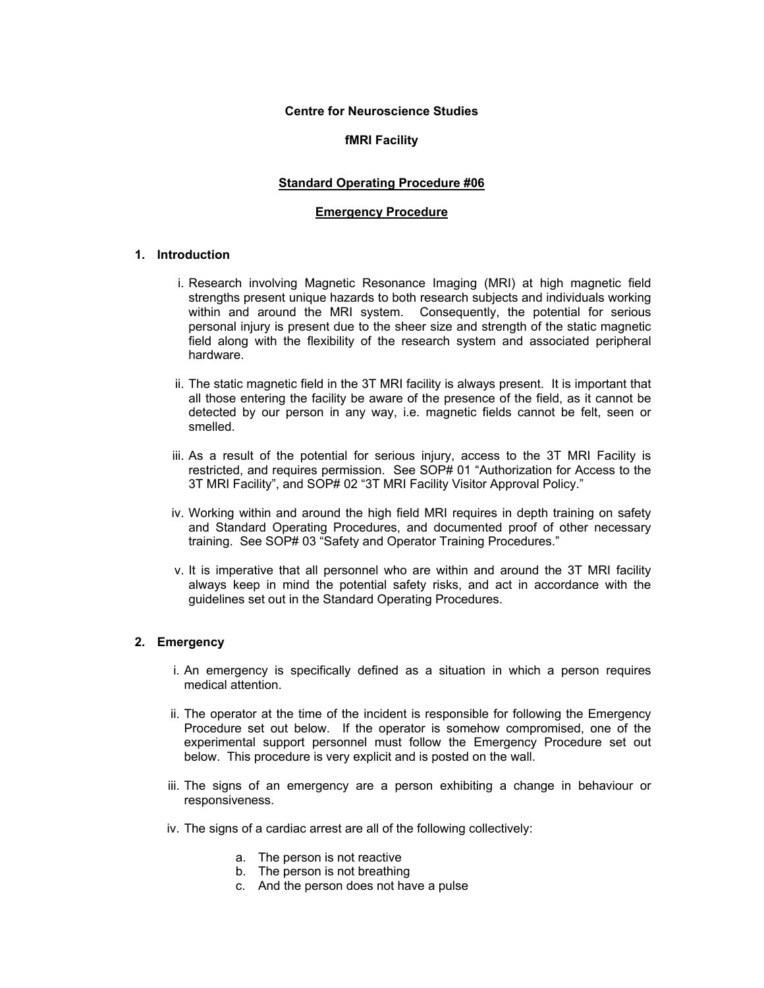#### **Centre for Neuroscience Studies**

## **fMRI Facility**

## **Standard Operating Procedure #06**

### **Emergency Procedure**

# **1. Introduction**

- i. Research involving Magnetic Resonance Imaging (MRI) at high magnetic field strengths present unique hazards to both research subjects and individuals working within and around the MRI system. Consequently, the potential for serious personal injury is present due to the sheer size and strength of the static magnetic field along with the flexibility of the research system and associated peripheral hardware.
- ii. The static magnetic field in the 3T MRI facility is always present. It is important that all those entering the facility be aware of the presence of the field, as it cannot be detected by our person in any way, i.e. magnetic fields cannot be felt, seen or smelled.
- iii. As a result of the potential for serious injury, access to the 3T MRI Facility is restricted, and requires permission. See SOP# 01 "Authorization for Access to the 3T MRI Facility", and SOP# 02 "3T MRI Facility Visitor Approval Policy."
- iv. Working within and around the high field MRI requires in depth training on safety and Standard Operating Procedures, and documented proof of other necessary training. See SOP# 03 "Safety and Operator Training Procedures."
- v. It is imperative that all personnel who are within and around the 3T MRI facility always keep in mind the potential safety risks, and act in accordance with the guidelines set out in the Standard Operating Procedures.

## **2. Emergency**

- i. An emergency is specifically defined as a situation in which a person requires medical attention.
- ii. The operator at the time of the incident is responsible for following the Emergency Procedure set out below. If the operator is somehow compromised, one of the experimental support personnel must follow the Emergency Procedure set out below. This procedure is very explicit and is posted on the wall.
- iii. The signs of an emergency are a person exhibiting a change in behaviour or responsiveness.
- iv. The signs of a cardiac arrest are all of the following collectively:
	- a. The person is not reactive
	- b. The person is not breathing
	- c. And the person does not have a pulse